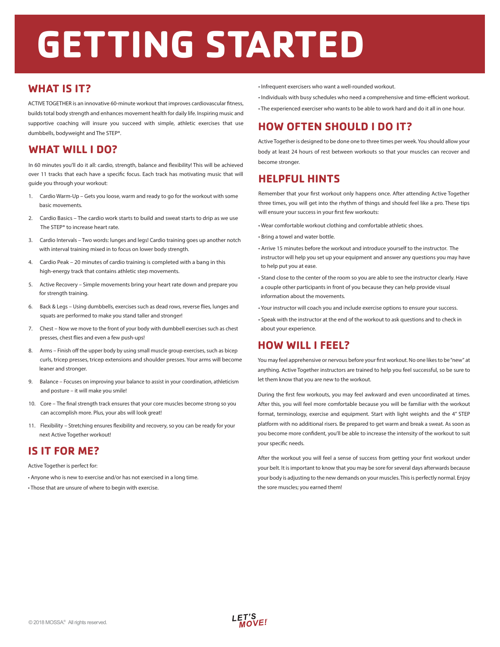# **GETTING STARTED**

#### **WHAT IS IT?**

ACTIVE TOGETHER is an innovative 60-minute workout that improves cardiovascular fitness, builds total body strength and enhances movement health for daily life. Inspiring music and supportive coaching will insure you succeed with simple, athletic exercises that use dumbbells, bodyweight and The STEP®.

## **WHAT WILL I DO?**

In 60 minutes you'll do it all: cardio, strength, balance and flexibility! This will be achieved over 11 tracks that each have a specific focus. Each track has motivating music that will guide you through your workout:

- 1. Cardio Warm-Up Gets you loose, warm and ready to go for the workout with some basic movements.
- 2. Cardio Basics The cardio work starts to build and sweat starts to drip as we use The STEP® to increase heart rate.
- 3. Cardio Intervals Two words: lunges and legs! Cardio training goes up another notch with interval training mixed in to focus on lower body strength.
- 4. Cardio Peak 20 minutes of cardio training is completed with a bang in this high-energy track that contains athletic step movements.
- 5. Active Recovery Simple movements bring your heart rate down and prepare you for strength training.
- 6. Back & Legs Using dumbbells, exercises such as dead rows, reverse flies, lunges and squats are performed to make you stand taller and stronger!
- 7. Chest Now we move to the front of your body with dumbbell exercises such as chest presses, chest flies and even a few push-ups!
- 8. Arms Finish off the upper body by using small muscle group exercises, such as bicep curls, tricep presses, tricep extensions and shoulder presses. Your arms will become leaner and stronger.
- 9. Balance Focuses on improving your balance to assist in your coordination, athleticism and posture – it will make you smile!
- 10. Core The final strength track ensures that your core muscles become strong so you can accomplish more. Plus, your abs will look great!
- 11. Flexibility Stretching ensures flexibility and recovery, so you can be ready for your next Active Together workout!

## **IS IT FOR ME?**

Active Together is perfect for:

- Anyone who is new to exercise and/or has not exercised in a long time.
- Those that are unsure of where to begin with exercise.
- Infrequent exercisers who want a well-rounded workout.
- Individuals with busy schedules who need a comprehensive and time-efficient workout.
- The experienced exerciser who wants to be able to work hard and do it all in one hour.

## **HOW OFTEN SHOULD I DO IT?**

Active Together is designed to be done one to three times per week. You should allow your body at least 24 hours of rest between workouts so that your muscles can recover and become stronger.

## **HELPFUL HINTS**

Remember that your first workout only happens once. After attending Active Together three times, you will get into the rhythm of things and should feel like a pro. These tips will ensure your success in your first few workouts:

- Wear comfortable workout clothing and comfortable athletic shoes.
- Bring a towel and water bottle.
- Arrive 15 minutes before the workout and introduce yourself to the instructor. The instructor will help you set up your equipment and answer any questions you may have to help put you at ease.
- Stand close to the center of the room so you are able to see the instructor clearly. Have a couple other participants in front of you because they can help provide visual information about the movements.
- Your instructor will coach you and include exercise options to ensure your success.
- Speak with the instructor at the end of the workout to ask questions and to check in about your experience.

## **HOW WILL I FEEL?**

You may feel apprehensive or nervous before your first workout. No one likes to be "new" at anything. Active Together instructors are trained to help you feel successful, so be sure to let them know that you are new to the workout.

During the first few workouts, you may feel awkward and even uncoordinated at times. After this, you will feel more comfortable because you will be familiar with the workout format, terminology, exercise and equipment. Start with light weights and the 4" STEP platform with no additional risers. Be prepared to get warm and break a sweat. As soon as you become more confident, you'll be able to increase the intensity of the workout to suit your specific needs.

After the workout you will feel a sense of success from getting your first workout under your belt. It is important to know that you may be sore for several days afterwards because your body is adjusting to the new demands on your muscles. This is perfectly normal. Enjoy the sore muscles; you earned them!